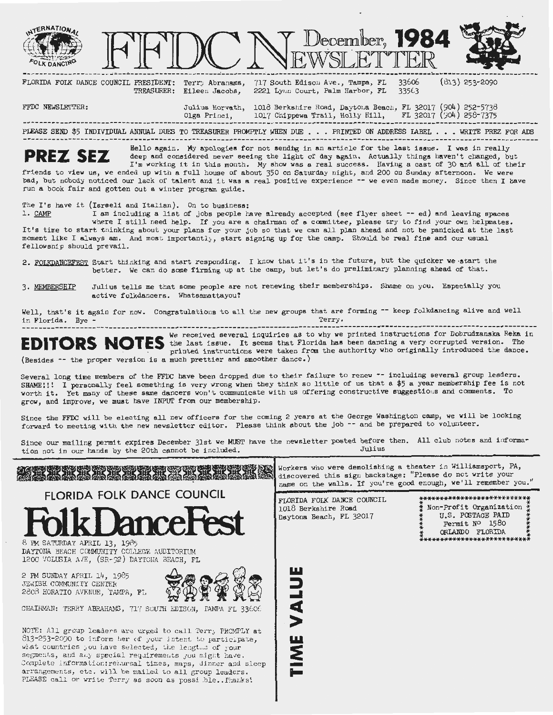

TREASURER: Terry Abrahams, Eileen Jacobs, 2221 Lywi Court, Palm Harbor, FL 33563 FFDC NEWSLETTER: Julius Horvath, 1018 Berkshire Road, Daytona Beach, FL 32017 (904) 252-5738 Olga Princi, 1017 Chippewa Trail, Holly Hill, FL 32017 (904) 258-7375

PIEASE SEND \$5 INDIVIDUAL ANNUAL DUES TO TREASURER PROMPTLY WHEN DUE . . . PRINTED ON ADDRESS IABEL . . . WRITE PREZ FOR ADS

Hello again. My apologies for not sending in an article for the last issue. I was in really deep and considered never seeing the light of day again. Actually things haven't changed, but I'm working it in this month. My show was a real success. Having a cast of 30 and all of their

friends to view us, we ended up with a full house of about 350 on Saturday night, and 200 on Sunday afternoon. We were bad, but nobody noticed our lack of talent and it was a real positive experience -- we even made money. Since then I have run a book fair and gotten out a winter program guide .

The I's have it (Isreeli and Italian). On to business:

1. CAMP I am including a list of jobs people have already accepted (see flyer sheet -- ed) and leaving spaces where I still need help. If you are a chairman of a committee, please try to find your own helpmates. It's time to start thinking about your plans for your job so that we can all plan ahead and not be panicked at the last moment like I always am. And most importantly, start signing up for the camp. Should be real fine and our usual fellowship should prevail.

2. FOLKDANCEFEST Start thinking and start responding . I know that i t 's in the future, but the quicker **we** •start the better. We can do some firming up at the camp, but let's do preliminary planning ahead of that.

3. MEMBERSHIP Julius tells me that some people are not renewing their memberships. Shame on you. Especially you active folkdancers. Whatsamattayou?

Well, that's it again for now. Congratulations to all the new groups that are forming -- keep folkdancing alive and well in Florida. Bye - Terry.

--------------------------------------------------------------------------------------------------------------------·--------

**EDITORS NOTES** We received several inquiries as to why we printed instructions for Dobrudzanska Reka in **EDITORS** NOTES the last issue. It seems that Florida has been dancing a very corrupted version. The printed instruct

(Besides -- the proper version is a much prettier and smoother dance.)<br>(Besides -- the proper version is a much prettier and smoother dance.)

Several long time members of the FFDC have been dropped due to their failure to renew -- including several group leaders. SHAME! !! I personally feel something is very wrong when they think so little of us that a \$5 a year membership fee is not worth it. Yet many of these same dancers won't communicate with us offering constructive suggestious and comments. To grow, and improve, we must have INPUT from our membership.

Since the FFDC will be electing all new officers for the coming 2 years at the George Washington camp, we will be looking forward to meeting with the new newsletter editor. Please think about the job -- and be prepared to volunteer.

Since our mailing permit expires December 31st we MUST have the newsletter posted before then. All club notes and informa-<br>iion not in our hands by the 20th cannot be included. Julius Julius tion not in our hands by the 20th cannot be included.

**JIBBDE JR JR JR JR JR JR JU FLORIDA FOLK DANCE COUNCIL Fest** 8 **PM SATURDAY APRIL 13, 1989** DAYTONA BEACH COMMUNITY COLLEGE AUDITORIUM 1200 VOLUSIA A/E, (SR-92) DAYTONA BEACH, FL 2 PM SUNDAY APRIL 14, 1985 JEWISH COMMUNITY CENTER<br>2808 HORATIO AVENUE, TAMPA, FL CHAIRMAN: TERRY ABRAHAMS, 717 SOUTH EDISON, RAMPA FL 33606 Workers who were demolishing a theater in Williamsport, PA, discovered this sign backstage: "Please do not write your name on the walls. If you're good enough, we'll remember you." FLORIDA *FOIK* DANCE COUNCIL 1018 Berkshire Road Daytona Beach, FL 32017  $\mathbf{u}$ <u>;</u> **ca:**  > \*<del>\*\*\*\*\*\*\*\*\*\*\*\*\*\*\*\*\*\*\*\*\*\*</del>\*  $\frac{4}{2}$  Non-Profit Organization U.S. POSTAGE PAID Permit N<sup>o</sup> 1580<br>ORLANDO FLORIDA \*\*\*\*\*\*\*\*\*\*\*\*\*\*\*\*\*\*\*\*\*\*\*

ill.

**≥** TIME

NOTE: All group leaders are urged to call  $Term$ , PROMPLY at 813-253-2090 to inform her of your intent to participate, what countries  $\frac{1}{2}$  ou have selected, the lengths of your segments, and any special requirements *jou might* have. Complete information: rehursal times, maps, dinner and sleep arrangements, etc. will be mailed to all group leaders. PLEA\$E call or write Terry as soon as possi .ble.. Fhanks!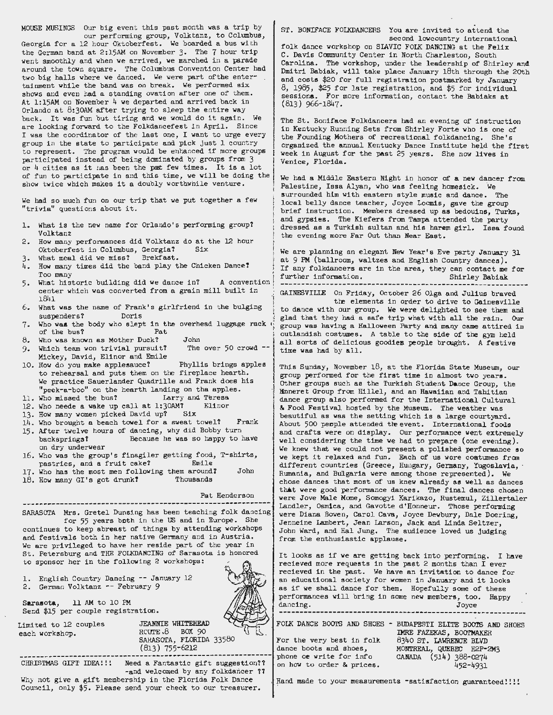MOUSE MUSINGS Our big event this past month was a trip by our performing group, Volktanz, to Columbus,

Georgia for a 12 hour Oktoberfest. We boarded a bus with the German band at 2:15AM on November 3. The 7 hour trip went smoothly and when we arrived, **we** marched in a parade around the town square. The Columbus Convention Center had two big halls where we danced. We were part of the entertainment while the band was on break. We performed six shows and even had a standing ovation after one of them. At 1:15AM on November 4 we departed and arrived back in Orlando at 8:30AM after trying to sleep the entire way back. It was fun but tiring and we would do it again. We are looking forward to the Folkdancefest in April. Since I was the coordinator of the last one, I want to urge every group in the state to participate and pick just 1 country group in the state to participate and pick just 1 country  $\begin{array}{c|c} \hline \text{co} \\ \text{co}} \end{array}$  to represent. The program would be enhanced if more groups  $\begin{array}{c|c} \hline \text{v}} \end{array}$  participated instead of being dominated by group or  $4$  cities as it has been the past few times. It is a lot of fun to participate in and this time, we will be doing the show twice which makes it a doubly worthwhile venture.

We had so much fun on our trip that we put together a few "trivia" questions about it.

- 1. What is the new name for Orlando 's performing group? Volktanz
- 2. How many performances did Volktanz do at the 12 hour Oktoberfest in Columbus, Georgia? Six
- 3. What meal did we miss?
- 4. 4. Now many choses did the band play the chicken bande:<br>Too many<br>5. What historic building did we dance in? A convention How many times did the band play the Chicken Dance?
- What historic building did we dance in? A convention center which was converted from a grain mill built in  $1841$  $1841$   $\left[1241\right]$
- $6.$  What was the name of Frank's girlfriend in the bulging suspenders? Doris
- 7. Who was the body who slept in the overhead luggage rack  $c_i^2$  $\overrightarrow{p}$  of the bus? Pat  $\overrightarrow{p}$
- $8.$  Who was known as Mother Duck? John  $10$
- 9. Which team won trivial pursuit? The over 50 crowd --Mickey, David, Elinor and Emile
- 10. How do you make applesauce? Phyllis brings apples How do you make applesauce? Phyllis brings apples<br>to rehearsal and puts them on the fireplace hearth. We practice Sauerlander Quadrille and Frank does his "peek-a-boo" on the hearth landing on tha apples.
- 11. Who missed the bus? Larry and Teresa
- 11. Who missed the bas.<br>12. Who neede a wake up call at 1:30AM7 Elinor
- 13. How many women picked David up? Six
- $14$ . Who brought a beach towel for a sweat towel? Frank
- 15. After twelve hours of dancing, why did Bobby turn backsprings? Because he **was** so happy to have on dry underwear
- 16. Who **was** the group's finagiler getting food, T-shirts, pastries, and **a** fruit cake? Emile
- 17. Who has the most men following them around? John 18. How many GI's got drunk? Thousands

SARASOTA Mrs. Gretel Dunsing has been teaching folk dancing for 55 years both in the US and in Europe. She continues to keep abreast of things by attending workshops

and festivals both in her native Germany and in Austria. We are privileged to have her reside part of the year in St. Petersburg and THE FOIKDANCING of Sarasota is honored to sponsor her in the following 2 workshops:

1. English Country Dancing -- January 12 2. German Volktanz -- February 9

-------------------------------------

**Suasota,** 11 AM to 10 **PM**  Send \$15 per couple registration.

Limited to 12 couples each workshop.

JEANNIE WHITEHEAD ROUTE 8 BOX 90 SAHASOTA, FLORIDA 33580 (813) 755-6212

CHRISTMAS GIFT IDEA!!! Need a Fantastic gift suggestion?? -and welcomed by any folkdancer ?? Why not give a gift membership in the Florida Folk Dance Council, only \$5. Please send your check to our treasurer.

ST. BONIFACE FOLKDANCERS You are invited to attend the second lowcountry international

folk dance workshop on SIAVIC FOLK DANCING at the Felix C. Davis Community Center in North Charleston, South Carolina. The workshop, under the leadership of Shirley **and**  Dmitri Babiak, will take place January 18th through the 20th and costs \$20 for full registration postmarked by January 8, 1985, \$25 for late registration, and \$5 for individual **sessions.** For more information, contact the Babiaks at ( 813) 966-1847.

The St. Boniface Folkdancers had an evening of instruction in Kentucky Running Sets from Shirley Forte who is one of the Founding Mothers of recreational folkdancing. She's organized the annual Kentucky Dance Institute held the first **week** in August for the past 25 years. She now lives in Venice, Florida.

We had **a** Middle Eastern Night in honor of **a** new dancer from Palestine, Issa Alyan, who was feeling homesick. We surrounded him with eastern style music and dance. The local belly dance teacher, Joyce Loomis, gave the group brief instruction. Members dressed up as bedouins, Turks, and gypsies. The Kiefers from Tampa attended the party dressed as **a** Turkish sultan and his harem girl. Issa found the evening more Far Out than Near East.

We are planning an elegant New Year's Eve party January 31 at 9 PM (ballroom, waltzes and English Country dances). If any folkdancers are in the area, they can contact me for further information. Shirley Babiak

GAINESVILLE On Friday, October 26 Olga and Julius braved

the elements in order to drive to Gainesville to dance with our group. We were delighted to see them and glad that they had a safe trip what with all the rain. Our group was having **a** Halloween Party and many came attired in outlandish costumes. A table to the side of the gym held all sorts of delicious goodiea people brooght. A festive time was had by all.

This Sunday, November 18, at the Florida State Museum, our group performed for the first time in almost two **years.**  Other groups such as the Turkish Student **Dance** Group, the lfnneret Group from Hillel, and an **Hawaiian** and Tahitian dance group also performed for the International Cultural<br>& Food Festival hosted by the Museum. The weather was beautiful as was the setting which is a large courtyard. About 500 people attended tie event. International foods and crafts were on display. Our performance went extremely well considering the time we had to prepare (one evening). We knew that we could not present **a** polished performance so we kept it relaxed and fun. Each of us wore coatumes fran different countries (Greece, Hungary, Germany, Yugoslavia, · Rumania, and Bulgaria were among those represented). We chose dances that most of us knew already **as** well as dances **that** were good performance dances. The final dances chosen were Jove Male Mome, Somogyi Karikazo, Rustemul, Zillertaler Landler, Osmica, and Gavotte d'Honneur. Those performing were Diana Bowen, Carol Cava, Joyce Dewbury, Dale Doering, Jenneine Lambert, Jean Larson, Jack and Linda Seltzer, John Ward, and Hal Jung. The audience loved us judging from the enthusiastic applause.

It looks as if we are getting back into performing. I have recieved more requests in the past 2 months than I ever recieved in the past. We have an invitation to dance for an educational society for women in January and it looks as if **we** shall dance for them. Hopefully some of these performances will bring in some new members, too. Happy dancing.  $\check{J}$ oyce ---------------------------------

For the very best in folk dance boots and shoes, phone **oe** write for info on how to order & prices.

FOLK DANCE BOOTS AND SHOES - BUDAPESTI ELITE BOOTS AND SHOES IMRE FAZEKAS, BOorMAKER 8340 ST. IAWRENCE BLVD MONTREAL, QUEBEC H2P-2M3 CANADA (514) 388-0274 452-4931

Hand made to your measurements -satisfaction guaranteed!!!!



Pat Henderson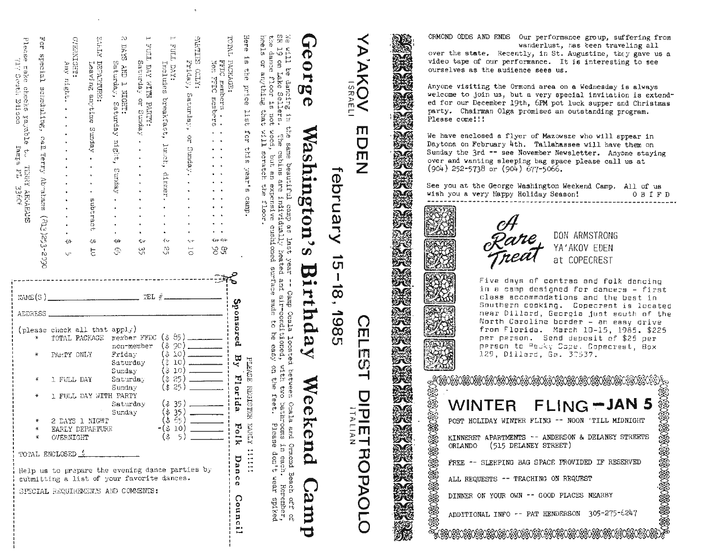| <b>NAKOV</b><br>MONAKY<br>Ш<br>$\mathbf{D}_{\mathbf{m}}$<br>Z<br>ᆊ<br>epruary<br>ភ<br>$-18.1985$<br>$\Omega_{\overline{\mathbf{\Pi}}}$<br>n<br>In                                                                                                                                                                                          | $\overline{a}$<br>$\overline{\phantom{a}}$<br>$\overline{\mathbf{v}}$<br><b>IETROPAOLO</b>                                                                                                                                                              |
|--------------------------------------------------------------------------------------------------------------------------------------------------------------------------------------------------------------------------------------------------------------------------------------------------------------------------------------------|---------------------------------------------------------------------------------------------------------------------------------------------------------------------------------------------------------------------------------------------------------|
| 9<br>eorge<br>Washington's<br>Birthday                                                                                                                                                                                                                                                                                                     | Weeke                                                                                                                                                                                                                                                   |
| heels or anything that will scratch the floor<br>the dance floor is not wood, but an<br>SR 19 on Lake Sellers.<br>We will be dancirg in<br>the same beautiful camp as last year -- Camp Ocala located between<br>The cabins are individually<br>expensive cushioned surface made to be easy on the feet.<br>heated<br>and air-conditioned, | with two bathrooms<br>$0c$ a $1a$<br>Plee:<br>and<br>se don't<br>in each.<br>Ormond<br>Beach<br>vear<br>Remember,<br>abiked<br>off<br>p,                                                                                                                |
| Here<br>5T<br>the price<br>1s <sub>I</sub><br>for this<br>s, real<br>dureo                                                                                                                                                                                                                                                                 | <b>FLEADED RECESSIBLE</b><br>THVE                                                                                                                                                                                                                       |
| TVLOL<br>PACKAGE:<br>FFDC members<br>Non FFDC<br>menbers<br>$\ddot{\phantom{0}}$<br>$G+G+$<br>98<br>Sponsoned<br>$\mathbf{g}_y$                                                                                                                                                                                                            | Florida:<br>Fol<br>12a<br>o<br>o<br>Counc                                                                                                                                                                                                               |
| PARTIES CILENS<br>Friday,<br>Saturday, or Sunday.<br>ă                                                                                                                                                                                                                                                                                     |                                                                                                                                                                                                                                                         |
| ٣<br><b>FULL DAY:</b><br>Includes<br>breakfast,<br>lumch, dinner.<br>ح المج<br>SS,<br>85)<br>(3<br>90)<br>$10$<br>10<br>10                                                                                                                                                                                                                 | (ささき)<br>(1)<br>(う<br>(\$<br>25<br>25<br>(\$<br>35)<br>35)<br>65)<br>10)<br>(らちも)<br>((ちちき)<br>$\overline{5}$                                                                                                                                           |
| ب<br><b>ALITY DVA ALLE BUZZA:</b><br>Saturday or Sunday<br>€r<br>بب<br>س<br>TEL $#$<br>member FFDC                                                                                                                                                                                                                                         |                                                                                                                                                                                                                                                         |
| 20<br><b>EXTC</b><br>Saturday, Saturday night,<br>THOIN I CAY<br>Tepung<br>$\ddot{\phantom{0}}$<br>⊕<br>Ĝ,<br>non-member<br>Friday<br>Saturday                                                                                                                                                                                             | Sunday<br>Saturday<br>Sunday<br>Saturday<br>Sunday                                                                                                                                                                                                      |
| KTFFE<br>DEPARTMENT:<br>Leaving anytime Sunday<br>$\blacksquare$<br>subtract<br>€G<br>5                                                                                                                                                                                                                                                    |                                                                                                                                                                                                                                                         |
| C/ERNICITY:<br>Any night.<br>↔<br>$\sqrt{2}$<br>(please check all that apply)<br>TOTAL PACKAGE<br>PARTY ONLY                                                                                                                                                                                                                               | 1 FULL DAY<br>1 FULL DAY WITH PARTY<br>2 DAYS 1 NIGHT<br>EARLY DEPARTURE<br>OVERNIGHT<br>TOTAL ENCLOSED <u>2</u><br>Help us to prepare the evening dance parties by<br>submitting a list of your favorite dances.<br>SPECIAL REQUIREMENTS AND COMMENTS: |
| For<br>special<br>scheduling,<br>call Terry Abrahams (213)253-2090<br>₩                                                                                                                                                                                                                                                                    | ∗<br>∗<br>₩<br>∗<br>¥                                                                                                                                                                                                                                   |
| Please rake checks hagable to<br>TIP Senth Editor<br>$_{\rm 5\,GHz}$<br>TERRI ABLAELESS<br>.<br>Н<br>33606<br>MAME(S)<br>ADDRESS                                                                                                                                                                                                           |                                                                                                                                                                                                                                                         |

ORMOND ODDS AND ENDS Our performance group, suffering from wanderlust, has been traveling all over the state. Recently, in St. Augustine, they gave us a video tape of our performance. It is interesting to see ourselves as the audience sees us.

Anyone visiting the Ormond area on a Wednesday is always welcome to join us, but a very special invitation is extended for our December 19th, 6PM pot luck supper and Christmas party. Chairman Olga promises an outstanding program. Please come!!!

We have enclosed a flyer of Mazowsze who will appear in Daytona on February 4th. Tallahassee will have them on Sunday the 3rd -- see November Newsletter. Anyone staving over and wanting sleeping bag space please call us at  $(904)$  252-5738 or  $(904)$  677-5066.

See you at the George Washington Weekend Camp. All of us wish you a very Happy Holiday Season! OBIFD

XOXOXOXOXOXOXOXOXOXO

DON ARMSTRONG YA'AKOV EDEN at COPECREST

Five days of contras and folk dancing in a camp designed for dancers - first class accommodations and the best in Southern cooking. Copecrest is located near Dillard, Georgia just south of the North Carolina border - an easy drive from Florida. March 10-15, 1985. \$225 per person. Send deposit of \$25 per person to Pecky Cape. Copecrest, Box 129, Dillard, Ga. 30537.

 $\frac{1}{2} \left( \frac{1}{2} \frac{1}{2} \frac{1}{2} \frac{1}{2} \frac{1}{2} \frac{1}{2} \frac{1}{2} \frac{1}{2} \frac{1}{2} \frac{1}{2} \frac{1}{2} \frac{1}{2} \frac{1}{2} \frac{1}{2} \frac{1}{2} \frac{1}{2} \frac{1}{2} \frac{1}{2} \frac{1}{2} \frac{1}{2} \frac{1}{2} \frac{1}{2} \frac{1}{2} \frac{1}{2} \frac{1}{2} \frac{1}{2} \frac{1}{2} \frac{1}{2} \frac{1}{2} \frac{1}{2}$ 

**WINTER** FLING-JAN 5

POST HOLIDAY WINTER FLING -- NOON 'TILL MIDNIGHT

KINNERET APARTMENTS -- ANDERSON & DELANEY STREETS ORLANDO (515 DELANEY STREET)

FREE -- SLEEPING BAG SPACE PROVIDED IF RESERVED

ALL REQUESTS -- TEACHING ON REQUEST

) 2002 02:02:02:02:02:03:03:03:02:02:02

 $\begin{array}{l} 20330330330330330330330330330330334 \end{array}$ DINNER ON YOUR OWN -- GOOD PLACES NEARBY

ADDITIONAL INFO -- PAT HENDERSON 305-275-6247